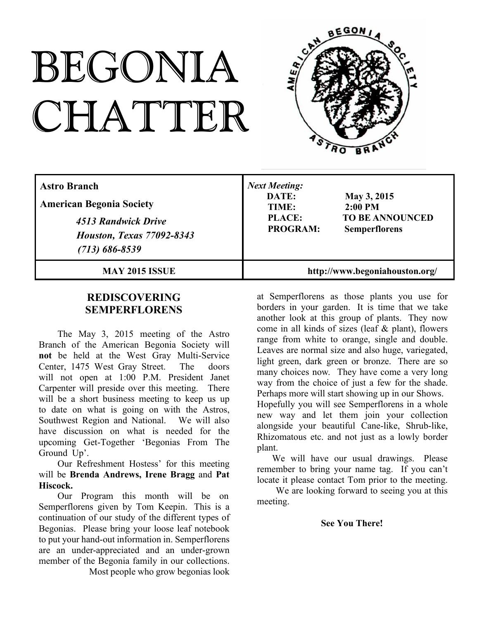# BEGONIA CHATTER



| <b>Astro Branch</b><br><b>American Begonia Society</b><br>4513 Randwick Drive<br><b>Houston, Texas 77092-8343</b><br>$(713) 686 - 8539$ | <b>Next Meeting:</b><br>DATE:<br>May 3, 2015<br>$2:00$ PM<br>TIME:<br><b>TO BE ANNOUNCED</b><br><b>PLACE:</b><br><b>PROGRAM:</b><br><b>Semperflorens</b> |
|-----------------------------------------------------------------------------------------------------------------------------------------|----------------------------------------------------------------------------------------------------------------------------------------------------------|
| <b>MAY 2015 ISSUE</b>                                                                                                                   | http://www.begoniahouston.org/                                                                                                                           |

## **REDISCOVERING SEMPERFLORENS**

The May 3, 2015 meeting of the Astro Branch of the American Begonia Society will **not** be held at the West Gray Multi-Service Center, 1475 West Gray Street. The doors will not open at 1:00 P.M. President Janet Carpenter will preside over this meeting. There will be a short business meeting to keep us up to date on what is going on with the Astros, Southwest Region and National. We will also have discussion on what is needed for the upcoming Get-Together 'Begonias From The Ground Up'.

Our Refreshment Hostess' for this meeting will be **Brenda Andrews, Irene Bragg** and **Pat Hiscock.**

Our Program this month will be on Semperflorens given by Tom Keepin. This is a continuation of our study of the different types of Begonias. Please bring your loose leaf notebook to put your hand-out information in. Semperflorens are an under-appreciated and an under-grown member of the Begonia family in our collections.

Most people who grow begonias look

at Semperflorens as those plants you use for borders in your garden. It is time that we take another look at this group of plants. They now come in all kinds of sizes (leaf & plant), flowers range from white to orange, single and double. Leaves are normal size and also huge, variegated, light green, dark green or bronze. There are so many choices now. They have come a very long way from the choice of just a few for the shade. Perhaps more will start showing up in our Shows. Hopefully you will see Semperflorens in a whole new way and let them join your collection alongside your beautiful Cane-like, Shrub-like, Rhizomatous etc. and not just as a lowly border plant.

We will have our usual drawings. Please remember to bring your name tag. If you can't locate it please contact Tom prior to the meeting.

We are looking forward to seeing you at this meeting.

## **See You There!**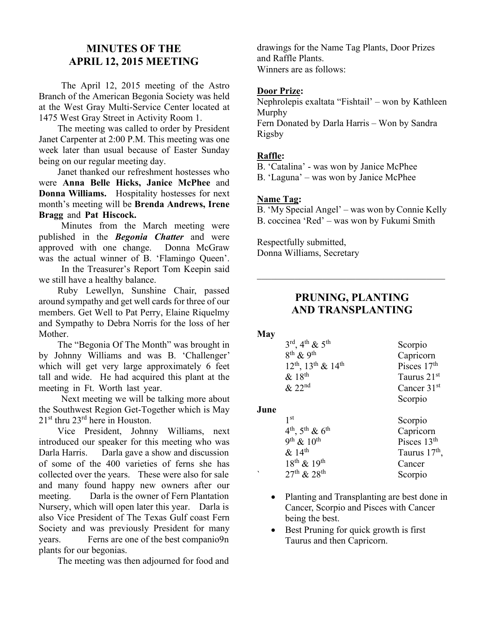# **MINUTES OF THE APRIL 12, 2015 MEETING**

The April 12, 2015 meeting of the Astro Branch of the American Begonia Society was held at the West Gray Multi-Service Center located at 1475 West Gray Street in Activity Room 1.

The meeting was called to order by President Janet Carpenter at 2:00 P.M. This meeting was one week later than usual because of Easter Sunday being on our regular meeting day.

Janet thanked our refreshment hostesses who were **Anna Belle Hicks, Janice McPhee** and **Donna Williams.** Hospitality hostesses for next month's meeting will be **Brenda Andrews, Irene Bragg** and **Pat Hiscock.**

Minutes from the March meeting were published in the *Begonia Chatter* and were approved with one change. Donna McGraw was the actual winner of B. 'Flamingo Queen'.

In the Treasurer's Report Tom Keepin said we still have a healthy balance.

Ruby Lewellyn, Sunshine Chair, passed around sympathy and get well cards for three of our members. Get Well to Pat Perry, Elaine Riquelmy and Sympathy to Debra Norris for the loss of her Mother.

The "Begonia Of The Month" was brought in by Johnny Williams and was B. 'Challenger' which will get very large approximately 6 feet tall and wide. He had acquired this plant at the meeting in Ft. Worth last year.

Next meeting we will be talking more about the Southwest Region Get-Together which is May  $21<sup>st</sup>$  thru  $23<sup>rd</sup>$  here in Houston.

Vice President, Johnny Williams, next introduced our speaker for this meeting who was Darla Harris. Darla gave a show and discussion of some of the 400 varieties of ferns she has collected over the years. These were also for sale and many found happy new owners after our meeting. Darla is the owner of Fern Plantation Nursery, which will open later this year. Darla is also Vice President of The Texas Gulf coast Fern Society and was previously President for many years. Ferns are one of the best companio9n plants for our begonias.

The meeting was then adjourned for food and

drawings for the Name Tag Plants, Door Prizes and Raffle Plants. Winners are as follows:

## **Door Prize:**

Nephrolepis exaltata "Fishtail' – won by Kathleen Murphy Fern Donated by Darla Harris – Won by Sandra Rigsby

## **Raffle:**

B. 'Catalina' - was won by Janice McPhee

B. 'Laguna' – was won by Janice McPhee

#### **Name Tag:**

B. 'My Special Angel' – was won by Connie Kelly B. coccinea 'Red' – was won by Fukumi Smith

Respectfully submitted, Donna Williams, Secretary

# **PRUNING, PLANTING AND TRANSPLANTING**

 $\overline{\mathcal{L}}$  , and the set of the set of the set of the set of the set of the set of the set of the set of the set of the set of the set of the set of the set of the set of the set of the set of the set of the set of the s

#### **May**

| $3^{\text{rd}}$ , 4 <sup>th</sup> & 5 <sup>th</sup> | Scorpio                 |
|-----------------------------------------------------|-------------------------|
| $8^{th}$ & 9 <sup>th</sup>                          | Capricorn               |
| $12^{th}$ , $13^{th}$ & $14^{th}$                   | Pisces 17 <sup>th</sup> |
| $\&$ 18 <sup>th</sup>                               | Taurus 21 <sup>st</sup> |
| & 22 <sup>nd</sup>                                  | Cancer 31 <sup>st</sup> |
|                                                     | Scorpio                 |

## **June**

| 1 st<br>Scorpio                                 |  |
|-------------------------------------------------|--|
| $4^{th}$ , $5^{th}$ & $6^{th}$<br>Capricorn     |  |
| 9 <sup>th</sup> & $10^{th}$<br>Pisces $13th$    |  |
| $& 14^{\text{th}}$<br>Taurus 17 <sup>th</sup> , |  |
| $18^{th}$ & $19^{th}$<br>Cancer                 |  |
| $27^{th}$ & $28^{th}$<br>Scorpio                |  |

- Planting and Transplanting are best done in Cancer, Scorpio and Pisces with Cancer being the best.
- Best Pruning for quick growth is first Taurus and then Capricorn.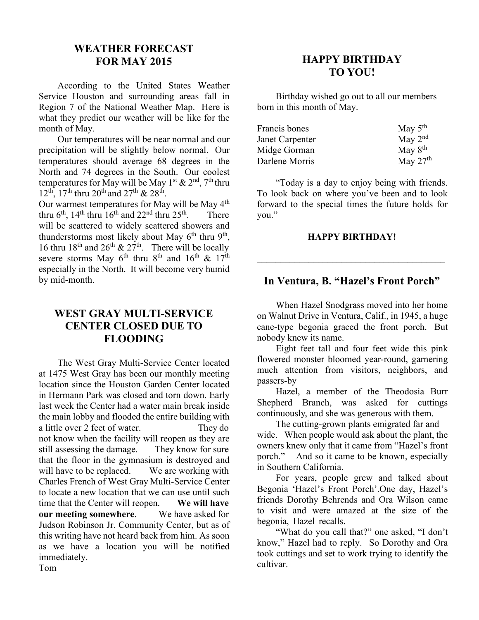# **WEATHER FORECAST FOR MAY 2015**

According to the United States Weather Service Houston and surrounding areas fall in Region 7 of the National Weather Map. Here is what they predict our weather will be like for the month of May.

Our temperatures will be near normal and our precipitation will be slightly below normal. Our temperatures should average 68 degrees in the North and 74 degrees in the South. Our coolest temperatures for May will be May 1<sup>st</sup> & 2<sup>nd</sup>, 7<sup>th</sup> thru  $12^{th}$ ,  $17^{th}$  thru  $20^{th}$  and  $27^{th}$  &  $28^{th}$ .

Our warmest temperatures for May will be May 4<sup>th</sup> thru  $6<sup>th</sup>$ ,  $14<sup>th</sup>$  thru  $16<sup>th</sup>$  and  $22<sup>nd</sup>$  thru  $25<sup>th</sup>$ . There will be scattered to widely scattered showers and thunderstorms most likely about May  $6<sup>th</sup>$  thru  $9<sup>th</sup>$ , 16 thru 18<sup>th</sup> and 26<sup>th</sup> & 27<sup>th</sup>. There will be locally severe storms May  $6^{th}$  thru  $8^{th}$  and  $16^{th}$  &  $17^{th}$ especially in the North. It will become very humid by mid-month.

# **WEST GRAY MULTI-SERVICE CENTER CLOSED DUE TO FLOODING**

The West Gray Multi-Service Center located at 1475 West Gray has been our monthly meeting location since the Houston Garden Center located in Hermann Park was closed and torn down. Early last week the Center had a water main break inside the main lobby and flooded the entire building with a little over 2 feet of water. They do not know when the facility will reopen as they are still assessing the damage. They know for sure that the floor in the gymnasium is destroyed and will have to be replaced. We are working with Charles French of West Gray Multi-Service Center to locate a new location that we can use until such time that the Center will reopen. **We will have our meeting somewhere**. We have asked for Judson Robinson Jr. Community Center, but as of this writing have not heard back from him. As soon as we have a location you will be notified immediately.

# **HAPPY BIRTHDAY TO YOU!**

Birthday wished go out to all our members born in this month of May.

| Francis bones          | May $5th$  |
|------------------------|------------|
| <b>Janet Carpenter</b> | May $2nd$  |
| Midge Gorman           | May $8th$  |
| Darlene Morris         | May $27th$ |

"Today is a day to enjoy being with friends. To look back on where you've been and to look forward to the special times the future holds for you."

## **HAPPY BIRTHDAY!**

**\_\_\_\_\_\_\_\_\_\_\_\_\_\_\_\_\_\_\_\_\_\_\_\_\_\_\_\_\_\_\_\_\_\_\_\_\_\_\_\_**

## **In Ventura, B. "Hazel's Front Porch"**

When Hazel Snodgrass moved into her home on Walnut Drive in Ventura, Calif., in 1945, a huge cane-type begonia graced the front porch. But nobody knew its name.

Eight feet tall and four feet wide this pink flowered monster bloomed year-round, garnering much attention from visitors, neighbors, and passers-by

Hazel, a member of the Theodosia Burr Shepherd Branch, was asked for cuttings continuously, and she was generous with them.

The cutting-grown plants emigrated far and

wide. When people would ask about the plant, the owners knew only that it came from "Hazel's front porch." And so it came to be known, especially in Southern California.

For years, people grew and talked about Begonia 'Hazel's Front Porch'.One day, Hazel's friends Dorothy Behrends and Ora Wilson came to visit and were amazed at the size of the begonia, Hazel recalls.

"What do you call that?" one asked, "I don't know," Hazel had to reply. So Dorothy and Ora took cuttings and set to work trying to identify the cultivar.

Tom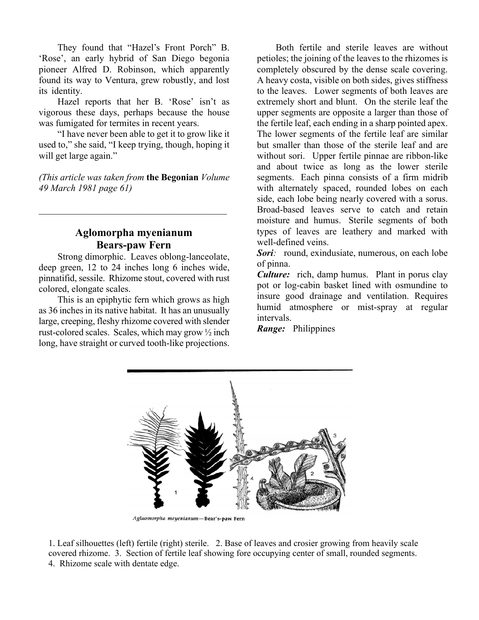They found that "Hazel's Front Porch" B. 'Rose', an early hybrid of San Diego begonia pioneer Alfred D. Robinson, which apparently found its way to Ventura, grew robustly, and lost its identity.

Hazel reports that her B. 'Rose' isn't as vigorous these days, perhaps because the house was fumigated for termites in recent years.

"I have never been able to get it to grow like it used to," she said, "I keep trying, though, hoping it will get large again."

*(This article was taken from* **the Begonian** *Volume 49 March 1981 page 61)*

 $\mathcal{L}_\mathcal{L}$  , which is a set of the set of the set of the set of the set of the set of the set of the set of the set of the set of the set of the set of the set of the set of the set of the set of the set of the set of

## **Aglomorpha myenianum Bears-paw Fern**

Strong dimorphic. Leaves oblong-lanceolate, deep green, 12 to 24 inches long 6 inches wide, pinnatifid, sessile. Rhizome stout, covered with rust colored, elongate scales.

This is an epiphytic fern which grows as high as 36 inches in its native habitat. It has an unusually large, creeping, fleshy rhizome covered with slender rust-colored scales. Scales, which may grow ½ inch long, have straight or curved tooth-like projections.

Both fertile and sterile leaves are without petioles; the joining of the leaves to the rhizomes is completely obscured by the dense scale covering. A heavy costa, visible on both sides, gives stiffness to the leaves. Lower segments of both leaves are extremely short and blunt. On the sterile leaf the upper segments are opposite a larger than those of the fertile leaf, each ending in a sharp pointed apex. The lower segments of the fertile leaf are similar but smaller than those of the sterile leaf and are without sori. Upper fertile pinnae are ribbon-like and about twice as long as the lower sterile segments. Each pinna consists of a firm midrib with alternately spaced, rounded lobes on each side, each lobe being nearly covered with a sorus. Broad-based leaves serve to catch and retain moisture and humus. Sterile segments of both types of leaves are leathery and marked with well-defined veins.

*Sori*: round, exindusiate, numerous, on each lobe of pinna.

*Culture:* rich, damp humus. Plant in porus clay pot or log-cabin basket lined with osmundine to insure good drainage and ventilation. Requires humid atmosphere or mist-spray at regular intervals.

*Range:* Philippines



Aglaomorpha meyenianum-Bear's-paw Fern

1. Leaf silhouettes (left) fertile (right) sterile. 2. Base of leaves and crosier growing from heavily scale covered rhizome. 3. Section of fertile leaf showing fore occupying center of small, rounded segments. 4. Rhizome scale with dentate edge.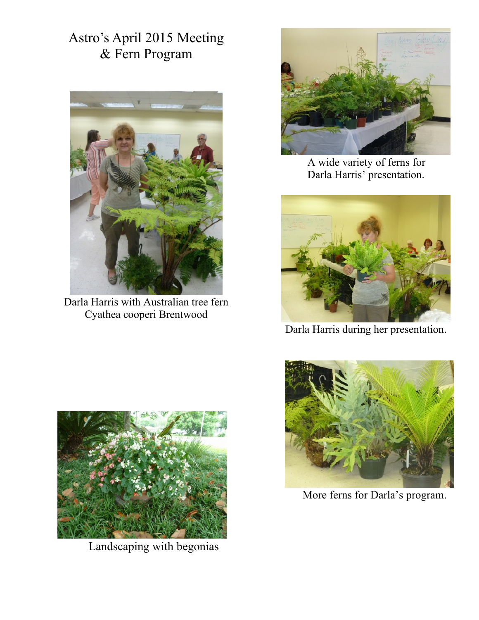Astro's April 2015 Meeting & Fern Program



Darla Harris with Australian tree fern Cyathea cooperi Brentwood



A wide variety of ferns for Darla Harris' presentation.



Darla Harris during her presentation.



Landscaping with begonias



More ferns for Darla's program.